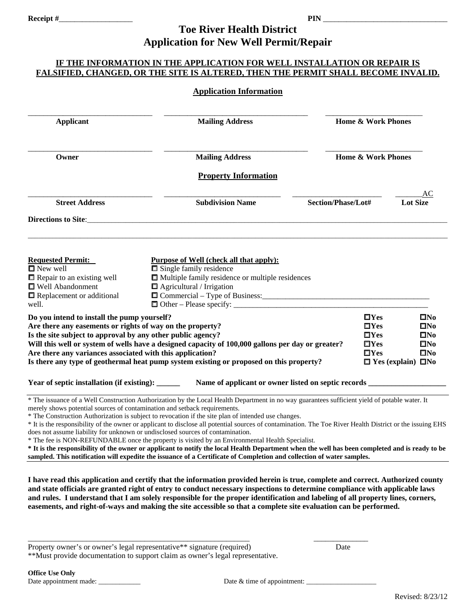#### **Receipt #**\_\_\_\_\_\_\_\_\_\_\_\_\_\_\_\_\_\_\_ **PIN** \_\_\_\_\_\_\_\_\_\_\_\_\_\_\_\_\_\_\_\_\_\_\_\_\_\_\_\_\_\_\_\_ **Toe River Health District Application for New Well Permit/Repair**

#### **IF THE INFORMATION IN THE APPLICATION FOR WELL INSTALLATION OR REPAIR IS FALSIFIED, CHANGED, OR THE SITE IS ALTERED, THEN THE PERMIT SHALL BECOME INVALID.**

#### **Application Information**

| <b>Applicant</b>                                                                                                                                                                                                                                                                                                                                                                                                                     | <b>Mailing Address</b>                                                                                                                                                                                                                                                                                                                                                                                                                                                                                                                                                                                                                                                                                                                                                                                                                                                            | <b>Home &amp; Work Phones</b> |                                                                              |  |
|--------------------------------------------------------------------------------------------------------------------------------------------------------------------------------------------------------------------------------------------------------------------------------------------------------------------------------------------------------------------------------------------------------------------------------------|-----------------------------------------------------------------------------------------------------------------------------------------------------------------------------------------------------------------------------------------------------------------------------------------------------------------------------------------------------------------------------------------------------------------------------------------------------------------------------------------------------------------------------------------------------------------------------------------------------------------------------------------------------------------------------------------------------------------------------------------------------------------------------------------------------------------------------------------------------------------------------------|-------------------------------|------------------------------------------------------------------------------|--|
| Owner                                                                                                                                                                                                                                                                                                                                                                                                                                | <b>Mailing Address</b>                                                                                                                                                                                                                                                                                                                                                                                                                                                                                                                                                                                                                                                                                                                                                                                                                                                            |                               | <b>Home &amp; Work Phones</b>                                                |  |
|                                                                                                                                                                                                                                                                                                                                                                                                                                      | <b>Property Information</b>                                                                                                                                                                                                                                                                                                                                                                                                                                                                                                                                                                                                                                                                                                                                                                                                                                                       |                               |                                                                              |  |
| <b>Street Address</b>                                                                                                                                                                                                                                                                                                                                                                                                                | <b>Subdivision Name</b>                                                                                                                                                                                                                                                                                                                                                                                                                                                                                                                                                                                                                                                                                                                                                                                                                                                           | Section/Phase/Lot#            | AС<br><b>Lot Size</b>                                                        |  |
| Directions to Site:                                                                                                                                                                                                                                                                                                                                                                                                                  |                                                                                                                                                                                                                                                                                                                                                                                                                                                                                                                                                                                                                                                                                                                                                                                                                                                                                   |                               |                                                                              |  |
|                                                                                                                                                                                                                                                                                                                                                                                                                                      |                                                                                                                                                                                                                                                                                                                                                                                                                                                                                                                                                                                                                                                                                                                                                                                                                                                                                   |                               |                                                                              |  |
| <b>Requested Permit:</b>                                                                                                                                                                                                                                                                                                                                                                                                             | <b>Purpose of Well (check all that apply):</b>                                                                                                                                                                                                                                                                                                                                                                                                                                                                                                                                                                                                                                                                                                                                                                                                                                    |                               |                                                                              |  |
| $\blacksquare$ New well<br>$\Box$ Repair to an existing well                                                                                                                                                                                                                                                                                                                                                                         | $\Box$ Single family residence<br>Multiple family residence or multiple residences                                                                                                                                                                                                                                                                                                                                                                                                                                                                                                                                                                                                                                                                                                                                                                                                |                               |                                                                              |  |
| □ Well Abandonment                                                                                                                                                                                                                                                                                                                                                                                                                   | $\Box$ Agricultural / Irrigation                                                                                                                                                                                                                                                                                                                                                                                                                                                                                                                                                                                                                                                                                                                                                                                                                                                  |                               |                                                                              |  |
| $\blacksquare$ Replacement or additional                                                                                                                                                                                                                                                                                                                                                                                             |                                                                                                                                                                                                                                                                                                                                                                                                                                                                                                                                                                                                                                                                                                                                                                                                                                                                                   |                               |                                                                              |  |
| well.                                                                                                                                                                                                                                                                                                                                                                                                                                |                                                                                                                                                                                                                                                                                                                                                                                                                                                                                                                                                                                                                                                                                                                                                                                                                                                                                   |                               |                                                                              |  |
| Do you intend to install the pump yourself?<br>Are there any easements or rights of way on the property?<br>Is the site subject to approval by any other public agency?<br>Will this well or system of wells have a designed capacity of 100,000 gallons per day or greater?<br>Are there any variances associated with this application?<br>Is there any type of geothermal heat pump system existing or proposed on this property? |                                                                                                                                                                                                                                                                                                                                                                                                                                                                                                                                                                                                                                                                                                                                                                                                                                                                                   |                               | $\square$ No<br>$\square$ No<br>$\square$ No<br>$\square$ No<br>$\square$ No |  |
|                                                                                                                                                                                                                                                                                                                                                                                                                                      |                                                                                                                                                                                                                                                                                                                                                                                                                                                                                                                                                                                                                                                                                                                                                                                                                                                                                   |                               | $\Box$ Yes (explain) $\Box$ No                                               |  |
| Year of septic installation (if existing): ______                                                                                                                                                                                                                                                                                                                                                                                    | Name of applicant or owner listed on septic records ____                                                                                                                                                                                                                                                                                                                                                                                                                                                                                                                                                                                                                                                                                                                                                                                                                          |                               |                                                                              |  |
| merely shows potential sources of contamination and setback requirements.                                                                                                                                                                                                                                                                                                                                                            | * The issuance of a Well Construction Authorization by the Local Health Department in no way guarantees sufficient yield of potable water. It<br>* The Construction Authorization is subject to revocation if the site plan of intended use changes.<br>* It is the responsibility of the owner or applicant to disclose all potential sources of contamination. The Toe River Health District or the issuing EHS<br>does not assume liability for unknown or undisclosed sources of contamination.<br>* The fee is NON-REFUNDABLE once the property is visited by an Environmental Health Specialist.<br>* It is the responsibility of the owner or applicant to notify the local Health Department when the well has been completed and is ready to be<br>sampled. This notification will expedite the issuance of a Certificate of Completion and collection of water samples. |                               |                                                                              |  |
|                                                                                                                                                                                                                                                                                                                                                                                                                                      | I have read this application and certify that the information provided herein is true, complete and correct. Authorized county<br>and state officials are granted right of entry to conduct necessary inspections to determine compliance with applicable laws<br>and rules. I understand that I am solely responsible for the proper identification and labeling of all property lines, corners,<br>easements, and right-of-ways and making the site accessible so that a complete site evaluation can be performed.                                                                                                                                                                                                                                                                                                                                                             |                               |                                                                              |  |

\*\*Must provide documentation to support claim as owner's legal representative.

\_\_\_\_\_\_\_\_\_\_\_\_\_\_\_\_\_\_\_\_\_\_\_\_\_\_\_\_\_\_\_\_\_\_\_\_\_\_\_\_\_\_\_\_\_\_\_\_\_\_\_\_\_\_\_\_\_ \_\_\_\_\_\_\_\_\_\_\_\_\_\_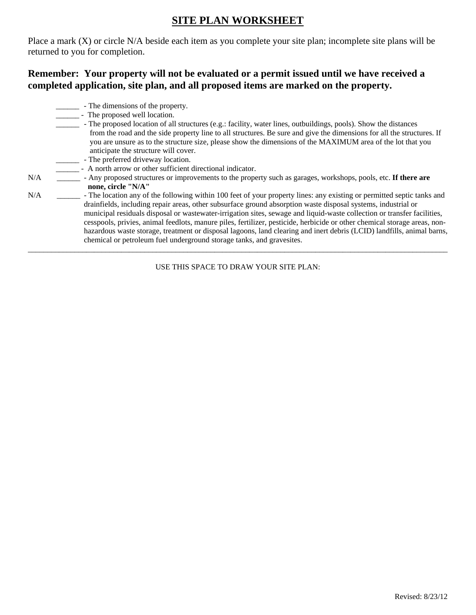## **SITE PLAN WORKSHEET**

Place a mark (X) or circle N/A beside each item as you complete your site plan; incomplete site plans will be returned to you for completion.

### **Remember: Your property will not be evaluated or a permit issued until we have received a completed application, site plan, and all proposed items are marked on the property.**

- \_\_\_\_\_\_ The dimensions of the property.
- \_\_\_\_\_\_\_\_\_ The proposed well location.
- The proposed location of all structures (e.g.: facility, water lines, outbuildings, pools). Show the distances from the road and the side property line to all structures. Be sure and give the dimensions for all the structures. If you are unsure as to the structure size, please show the dimensions of the MAXIMUM area of the lot that you anticipate the structure will cover.
- \_\_\_\_\_\_ The preferred driveway location.
- \_\_\_\_\_\_ A north arrow or other sufficient directional indicator.
- N/A \_\_\_\_\_\_ Any proposed structures or improvements to the property such as garages, workshops, pools, etc. **If there are none, circle "N/A"**
- N/A <sup>I</sup> The location any of the following within 100 feet of your property lines: any existing or permitted septic tanks and drainfields, including repair areas, other subsurface ground absorption waste disposal systems, industrial or municipal residuals disposal or wastewater-irrigation sites, sewage and liquid-waste collection or transfer facilities, cesspools, privies, animal feedlots, manure piles, fertilizer, pesticide, herbicide or other chemical storage areas, nonhazardous waste storage, treatment or disposal lagoons, land clearing and inert debris (LCID) landfills, animal barns, chemical or petroleum fuel underground storage tanks, and gravesites.

USE THIS SPACE TO DRAW YOUR SITE PLAN:

\_\_\_\_\_\_\_\_\_\_\_\_\_\_\_\_\_\_\_\_\_\_\_\_\_\_\_\_\_\_\_\_\_\_\_\_\_\_\_\_\_\_\_\_\_\_\_\_\_\_\_\_\_\_\_\_\_\_\_\_\_\_\_\_\_\_\_\_\_\_\_\_\_\_\_\_\_\_\_\_\_\_\_\_\_\_\_\_\_\_\_\_\_\_\_\_\_\_\_\_\_\_\_\_\_\_\_\_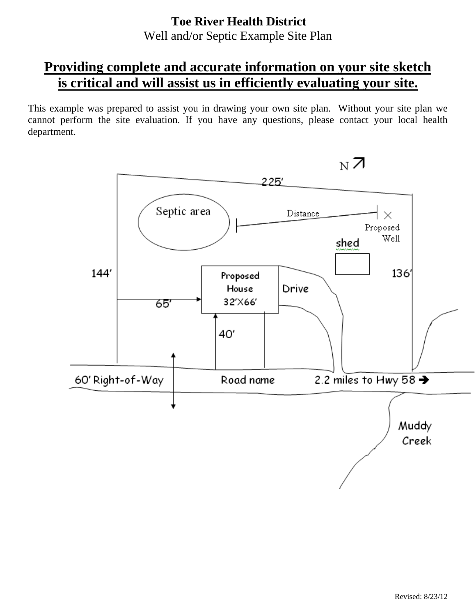## **Toe River Health District** Well and/or Septic Example Site Plan

# **Providing complete and accurate information on your site sketch is critical and will assist us in efficiently evaluating your site.**

This example was prepared to assist you in drawing your own site plan. Without your site plan we cannot perform the site evaluation. If you have any questions, please contact your local health department.